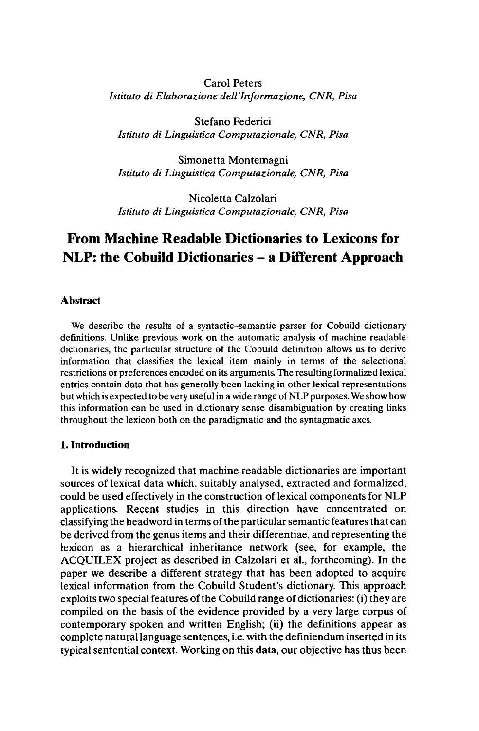Carol Peters *Istituto di Elaborazione dell'Informazione, CNR, Pisa*

Stefano Federici *Istituto di Linguistica Computazionale, CNR, Pisa*

Simonetta Montemagni *Istituto di Linguistica Computazionale, CNR, Pisa*

Nicoletta Calzolari *Istituto di Linguistica Computazionale, CNR, Pisa*

# **From Machine Readable Dictionaries to Lexicons for NLP: the Cobuild Dictionaries - <sup>a</sup> Different Approach**

## **Abstract**

We describe the results of a syntactic-semantic parser for Cobuild dictionary definitions. Unlike previous work on the automatic analysis of machine readable dictionaries, the particular structure of the Cobuild definition allows us to derive information that classifies the lexical item mainly in terms of the selectional restrictions or preferences encoded on its arguments. The resulting formalized lexical entries contain data that has generally been lacking in other lexical representations but which is expected to be very useful in a wide range of NLP purposes. We show how this information can be used in dictionary sense disambiguation by creating links throughout the lexicon both on the paradigmatic and the syntagmatic axes.

## **1. Introduction**

It is widely recognized that machine readable dictionaries are important sources of lexical data which, suitably analysed, extracted and formalized, could be used effectively in the construction of lexical components for NLP applications. Recent studies in this direction have concentrated on classifying the headword in terms of the particularsemantic features that can be derived from the genus items and their differentiae, and representing the lexicon as a hierarchical inheritance network (see, for example, the ACQUILEX project as described in Calzolari et al., forthcoming). In the paper we describe a different strategy that has been adopted to acquire lexical information from the Cobuild Student's dictionary. This approach exploits two special features of the Cobuild range of dictionaries: (i) they are compiled on the basis of the evidence provided by a very large corpus of contemporary spoken and written English; (ii) the definitions appear as complete naturallanguage sentences, i.e. with the definiendum inserted in its typical sentential context. Working on this data, our objective has thus been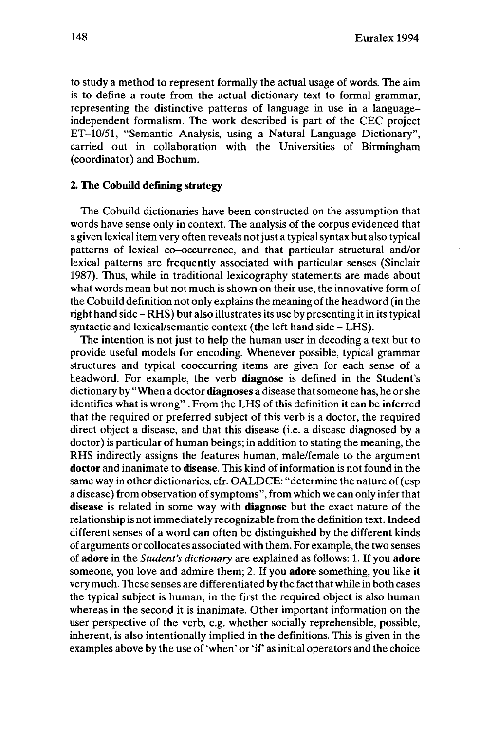to study a method to represent formally the actual usage of words. The aim is to define a route from the actual dictionary text to formal grammar, representing the distinctive patterns of language in use in a languageindependent formalism. The work described is part of the CEC project ET-10/51, "Semantic Analysis, using a Natural Language Dictionary", carried out in collaboration with the Universities of Birmingham (coordinator) and Bochum.

## **2. The Cobuild defining strategy**

The Cobuild dictionaries have been constructed on the assumption that words have sense only in context. The analysis of the corpus evidenced that a given lexical item very often reveals not just a typical syntax but also typical patterns of lexical co-occurrence, and that particular structural and/or lexical patterns are frequently associated with particular senses (Sinclair 1987). Thus, while in traditional lexicography statements are made about what words mean but not much is shown on their use, the innovative form of the Cobuild definition not only explains the meaning ofthe headword (in the right hand side – RHS) but also illustrates its use by presenting it in its typical syntactic and lexical/semantic context (the left hand side - LHS).

The intention is not just to help the human user in decoding a text but to provide useful models for encoding. Whenever possible, typical grammar structures and typical cooccurring items are given for each sense of a headword. For example, the verb **diagnose** is defined in the Student's dictionary by "When a doctor **diagnoses** a disease thatsomeone has, he orshe identifies what is wrong" . From the LHS of this definition it can be inferred that the required or preferred subject of this verb is a doctor, the required direct object a disease, and that this disease (i.e. a disease diagnosed by a doctor) is particular of human beings; in addition to stating the meaning, the RHS indirectly assigns the features human, male/female to the argument **doctor** and inanimate to **disease.** This kind of information is not found in the same way in other dictionaries, cfr. OALDCE: "determine the nature of(esp a disease) from observation ofsymptoms", from which we can only inferthat **disease** is related in some way with **diagnose** but the exact nature of the relationship is notimmediately recognizable from the definition text. Indeed different senses of a word can often be distinguished by the different kinds of arguments or collocates associated with them. For example, the two senses of **adore** in the *Student's dictionary* are explained as follows: 1. If you **adore** someone, you love and admire them; 2. If you **adore** something, you like it very much. These senses are differentiated by the fact that while in both cases the typical subject is human, in the first the required object is also human whereas in the second it is inanimate. Other important information on the user perspective of the verb, e.g. whether socially reprehensible, possible, inherent, is also intentionally implied in the definitions. This is given in the examples above by the use of 'when' or 'if' as initial operators and the choice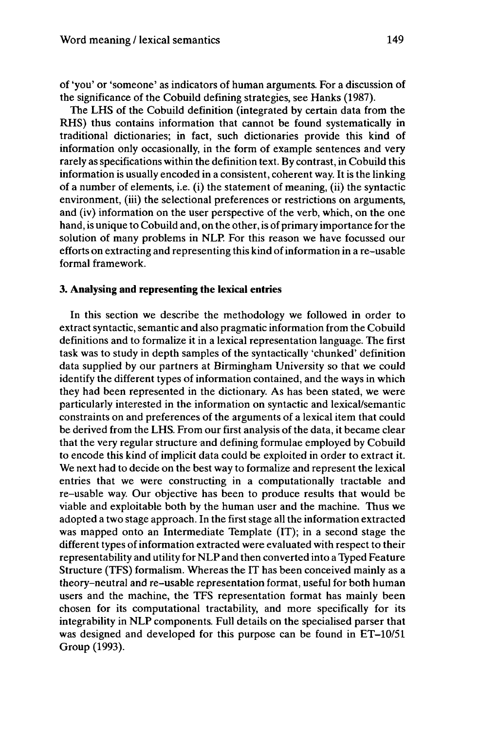of 'you' or 'someone' as indicators of human arguments. For a discussion of the significance of the Cobuild defining strategies, see Hanks (1987).

The LHS of the Cobuild definition (integrated by certain data from the RHS) thus contains information that cannot be found systematically in traditional dictionaries; in fact, such dictionaries provide this kind of information only occasionally, in the form of example sentences and very rarely as specifications within the definition text. By contrast, in Cobuild this information is usually encoded in a consistent, coherent way. It is the linking of a number of elements, i.e. (i) the statement of meaning, (ii) the syntactic environment, (iii) the selectional preferences or restrictions on arguments, and (iv) information on the user perspective of the verb, which, on the one hand, is unique to Cobuild and, on the other, is of primary importance for the solution of many problems in NLP. For this reason we have focussed our efforts on extracting and representing this kind ofinformation in a re-usable formal framework.

## **3. Analysing and representing the lexical entries**

In this section we describe the methodology we followed in order to extract syntactic, semantic and also pragmatic information from the Cobuild definitions and to formalize it in a lexical representation language. The first task was to study in depth samples of the syntactically 'chunked' definition data supplied by our partners at Birmingham University so that we could identify the different types of information contained, and the ways in which they had been represented in the dictionary. As has been stated, we were particularly interested in the information on syntactic and lexical/semantic constraints on and preferences of the arguments of a lexical item that could be derived from the LHS. From our first analysis of the data, it became clear that the very regular structure and defining formulae employed by Cobuild to encode this kind of implicit data could be exploited in order to extract it. We next had to decide on the best way to formalize and represent the lexical entries that we were constructing in a computationally tractable and re-usable way. Our objective has been to produce results that would be viable and exploitable both by the human user and the machine. Thus we adopted a two stage approach. In the first stage all the information extracted was mapped onto an Intermediate Template (IT); in a second stage the different types of information extracted were evaluated with respect to their representability and utility for NLPand then converted into a Typed Feature Structure (TFS) formalism. Whereas the IT has been conceived mainly as a theory-neutral and re-usable representation format, useful for both human users and the machine, the TFS representation format has mainly been chosen for its computational tractability, and more specifically for its integrability in NLP components. Full details on the specialised parser that was designed and developed for this purpose can be found in ET-10/51 Group (1993).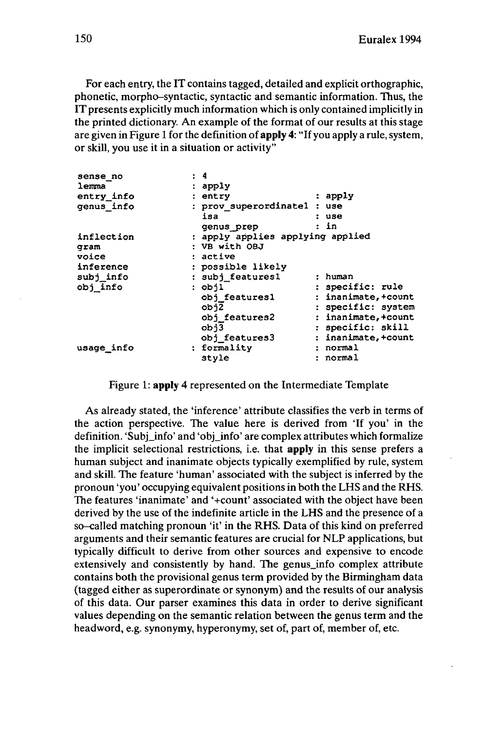For each entry, the IT contains tagged, detailed and explicit orthographic, phonetic, morpho-syntactic, syntactic and semantic information. Thus, the IT presents explicitly much information which is only contained implicitly in the printed dictionary. An example of the format of our results at this stage are given in Figure <sup>1</sup> for the definition of **apply 4:** "If you apply a rule, system, or skill, you use it in a situation or activity"

| sense no   | : 4                                  |
|------------|--------------------------------------|
| lemma      | : apply                              |
| entry_info | : apply<br>: entry                   |
| genus info | : prov_superordinatel : use          |
|            | isa<br>: use                         |
|            | : in<br>genus prep                   |
| inflection | : apply applies applying applied     |
| qram       | : VB with OBJ                        |
| voice      | : active                             |
| inference  | : possible likely                    |
| subj info  | : subj features1<br>: human          |
| obj info   | : specific: rule<br>: objl           |
|            | : inanimate, +count<br>obj features1 |
|            | : specific: system<br>obj2           |
|            | : inanimate, +count<br>obj features2 |
|            | : specific: skill<br>obj3            |
|            | : inanimate, +count<br>obj features3 |
| usage info | : formality<br>: normal              |
|            | : normal<br>style                    |
|            |                                      |

Figure 1: **apply** 4 represented on the Intermediate Template

As already stated, the 'inference' attribute classifies the verb in terms of the action perspective. The value here is derived from 'If you' in the definition. 'Subj info' and 'obj info' are complex attributes which formalize the implicit selectional restrictions, i.e. that **apply** in this sense prefers a human subject and inanimate objects typically exemplified by rule, system and skill. The feature 'human' associated with the subject is inferred by the pronoun 'you' occupying equivalent positions in both the LHS and the RHS. The features 'inanimate' and '+count' associated with the object have been derived by the use of the indefinite article in the LHS and the presence of a so-called matching pronoun 'it' in the RHS. Data of this kind on preferred arguments and their semantic features are crucial for NLP applications, but typically difficult to derive from other sources and expensive to encode extensively and consistently by hand. The genus\_info complex attribute contains both the provisional genus term provided by the Birmingham data (tagged either as superordinate or synonym) and the results of our analysis of this data. Our parser examines this data in order to derive significant values depending on the semantic relation between the genus term and the headword, e.g. synonymy, hyperonymy, set of, part of, member of, etc.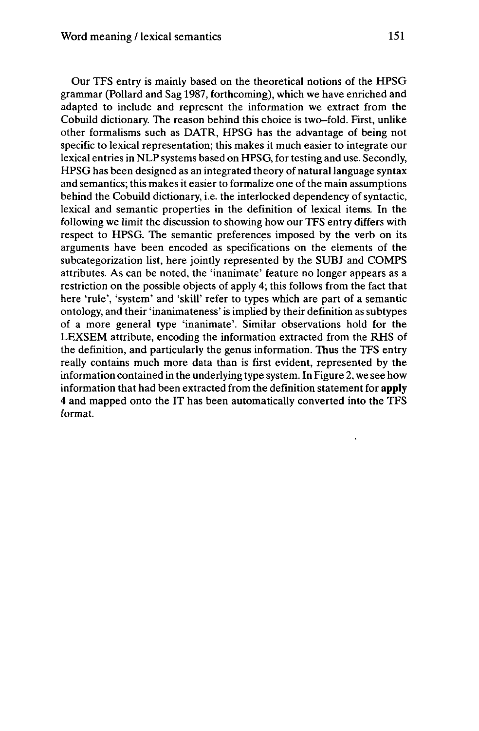Our TFS entry is mainly based on the theoretical notions of the HPSG grammar (Pollard and Sag 1987, forthcoming), which we have enriched and adapted to include and represent the information we extract from the Cobuild dictionary. The reason behind this choice is two-fold. First, unlike other formalisms such as DATR, HPSG has the advantage of being not specific to lexical representation; this makes it much easier to integrate our lexical entries in NLPsystems based on HPSG, for testing and use. Secondly, HPSG has been designed as an integrated theory of naturallanguage syntax and semantics; this makes it easier to formalize one of the main assumptions behind the Cobuild dictionary, i.e. the interlocked dependency of syntactic, lexical and semantic properties in the definition of lexical items. In the following we limit the discussion to showing how our TFS entry differs with respect to HPSG. The semantic preferences imposed by the verb on its arguments have been encoded as specifications on the elements of the subcategorization list, here jointly represented by the SUBJ and COMPS attributes. As can be noted, the 'inanimate' feature no longer appears as a restriction on the possible objects of apply 4; this follows from the fact that here 'rule', 'system' and 'skill' refer to types which are part of a semantic ontology, and their 'inanimateness' is implied by their definition as subtypes of a more general type 'inanimate'. Similar observations hold for the LEXSEM attribute, encoding the information extracted from the RHS of the definition, and particularly the genus information. Thus the TFS entry really contains much more data than is first evident, represented by the information contained in the underlying type system. In Figure 2, we see how information that had been extracted from the definition statement for **apply** 4 and mapped onto the IT has been automatically converted into the TFS format.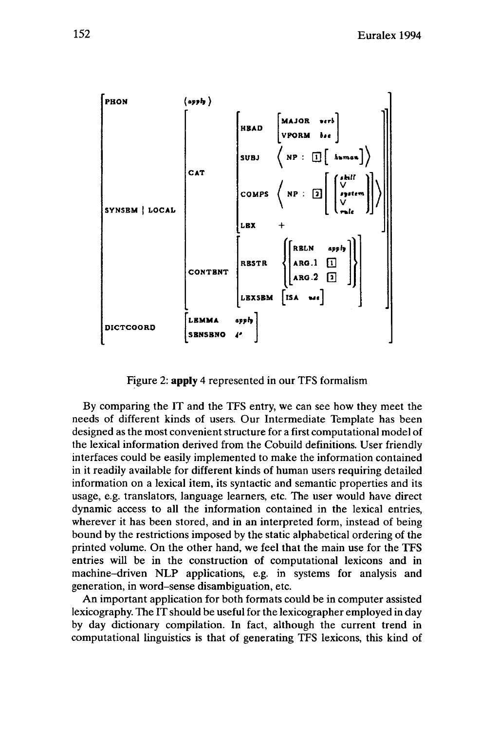

Figure 2: **apply** 4 represented in our TFS formalism

By comparing the IT and the TFS entry, we can see how they meet the needs of different kinds of users. Our Intermediate Template has been designed as the most convenient structure for a first computational model of the lexical information derived from the Cobuild definitions. User friendly interfaces could be easily implemented to make the information contained in it readily available for different kinds of human users requiring detailed information on a lexical item, its syntactic and semantic properties and its usage, e.g. translators, language learners, etc. The user would have direct dynamic access to all the information contained in the lexical entries, wherever it has been stored, and in an interpreted form, instead of being bound by the restrictions imposed by the static alphabetical ordering of the printed volume. On the other hand, we feel that the main use for the TFS entries will be in the construction of computational lexicons and in machine-driven NLP applications, e.g. in systems for analysis and generation, in word-sense disambiguation, etc.

An important application for both formats could be in computer assisted lexicography. The IT should be useful for the lexicographer employed in day by day dictionary compilation. In fact, although the current trend in computational linguistics is that of generating TFS lexicons, this kind of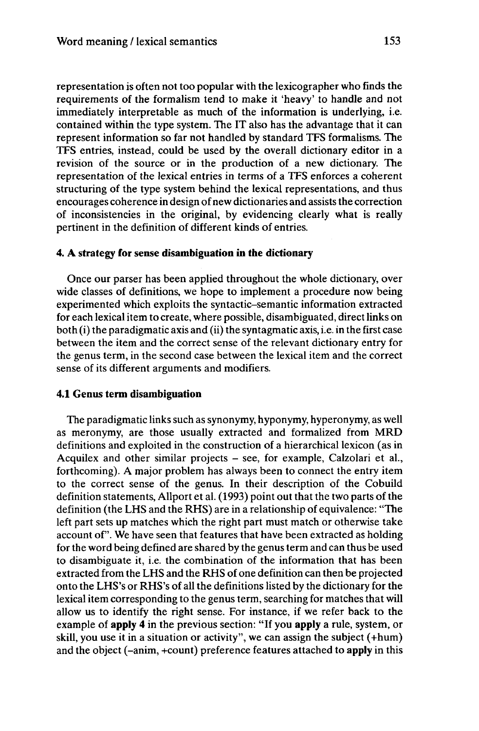representation is often not too popular with the lexicographer who finds the requirements of the formalism tend to make it 'heavy' to handle and not immediately interprétable as much of the information is underlying, i.e. contained within the type system. The IT also has the advantage that it can represent information so far not handled by standard TFS formalisms. The TFS entries, instead, could be used by the overall dictionary editor in a revision of the source or in the production of a new dictionary. The representation of the lexical entries in terms of a TFS enforces a coherent structuring of the type system behind the lexical representations, and thus encourages coherence in design of new dictionaries and assists the correction of inconsistencies in the original, by evidencing clearly what is really pertinent in the definition of different kinds of entries.

## **4. A strategy for sense disambiguation in the dictionary**

Once our parser has been applied throughout the whole dictionary, over wide classes of definitions, we hope to implement a procedure now being experimented which exploits the syntactic-semantic information extracted for each lexical item to create, where possible, disambiguated, directlinks on both (i) the paradigmatic axis and (ii) the syntagmatic axis, i.e. in the first case between the item and the correct sense of the relevant dictionary entry for the genus term, in the second case between the lexical item and the correct sense of its different arguments and modifiers.

## **4.1 Genus term disambiguation**

The paradigmatic links such as synonymy, hyponymy, hyperonymy, as well as meronymy, are those usually extracted and formalized from MRD definitions and exploited in the construction of a hierarchical lexicon (as in Acquilex and other similar projects - see, for example, Calzolari et al., forthcoming). A major problem has always been to connect the entry item to the correct sense of the genus. In their description of the Cobuild definition statements, Allport et al.  $(1993)$  point out that the two parts of the definition (the LHS and the RHS) are in a relationship of equivalence: "The left part sets up matches which the right part must match or otherwise take account of". We have seen that features that have been extracted as holding for the word being defined are shared by the genusterm and can thus be used to disambiguate it, i.e. the combination of the information that has been extracted from the LHS and the RHS of one definition can then be projected onto the LHS's or RHS's of all the definitions listed by the dictionary for the lexical item corresponding to the genus term, searching for matches that will allow us to identify the right sense. For instance, if we refer back to the example of **apply 4** in the previous section: "If you **apply** a rule, system, or skill, you use it in a situation or activity", we can assign the subject (+hum) and the object (-anim, +count) preference features attached to **apply** in this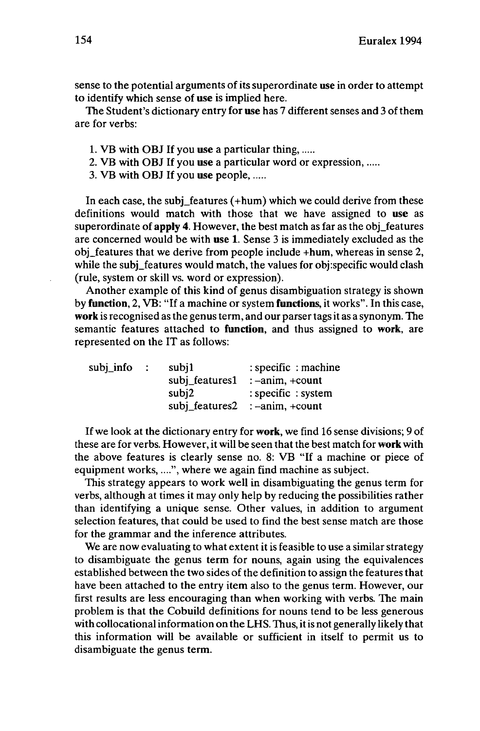sense to the potential arguments of its superordinate **use** in order to attempt to identify which sense of **use** is implied here.

The Student's dictionary entry for **use** has 7 different senses and 3 of them are for verbs:

- 1. VB with OBJ If you **use** a particular thing,
- 2. VB with OBJ If you **use** a particular word or expression,
- 3. VB with OBJ If you **use** people,

In each case, the subj\_features (+hum) which we could derive from these definitions would match with those that we have assigned to **use** as superordinate of **apply 4.** However, the best match as far as the obj\_features are concerned would be with **use** 1. Sense 3 is immediately excluded as the obj\_features that we derive from people include +hum, whereas in sense 2, while the subj\_features would match, the values for obj:specific would clash (rule, system or skill vs. word or expression).

Another example of this kind of genus disambiguation strategy is shown by **function,** 2, VB: "If a machine or system **functions,** it works". In this case, **work**is recognised as the genus term, and our parser tagsit as a synonym. The semantic features attached to **function,** and thus assigned to **work,** are represented on the IT as follows:

| $subj$ <sub>n</sub> nfo | $\sim$ 100 $\sim$ | subj1          | : specific : machine                    |
|-------------------------|-------------------|----------------|-----------------------------------------|
|                         |                   | subj_features1 | $: -\text{anim}, +\text{count}$         |
|                         |                   | subi2          | : specific : system                     |
|                         |                   |                | $subj1$ features 2 : $-anim$ , $+count$ |

If we look at the dictionary entry for **work,** we find 16 sense divisions; 9 of these are for verbs. However, it will be seen thatthe best match for **work** with the above features is clearly sense no. 8: VB "If a machine or piece of equipment works,....", where we again find machine as subject.

This strategy appears to work well in disambiguating the genus term for verbs, although at times it may only help by reducing the possibilities rather than identifying a unique sense. Other values, in addition to argument selection features, that could be used to find the best sense match are those for the grammar and the inference attributes.

We are now evaluating to what extent it is feasible to use a similar strategy to disambiguate the genus term for nouns, again using the equivalences established between the two sides of the definition to assign the features that have been attached to the entry item also to the genus term. However, our first results are less encouraging than when working with verbs. The main problem is that the Cobuild definitions for nouns tend to be less generous with collocational information on the LHS. Thus, it is not generally likely that this information will be available or sufficient in itself to permit us to disambiguate the genus term.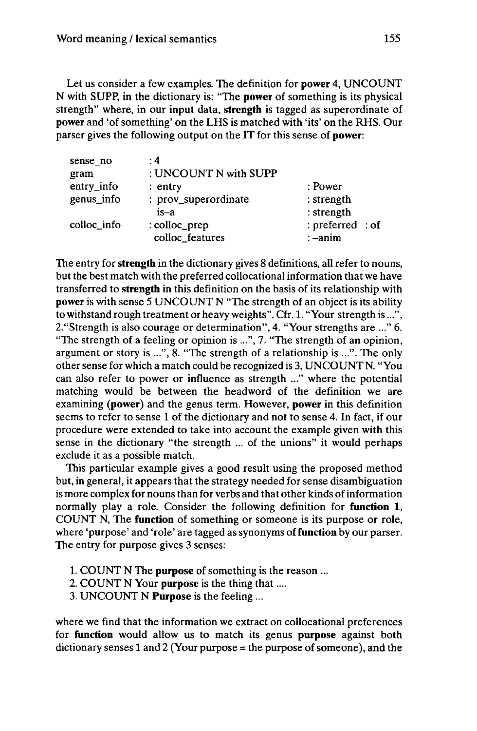Let us consider a few examples. The definition for **power** 4, UNCOUNT N with SUPP, in the dictionary is: "The **power** of something is its physical strength" where, in our input data, **strength** is tagged as superordinate of **power** and 'of something' on the LHS is matched with 'its' on the RHS. Our parser gives the following output on the IT for this sense of **power:**

| : 4                   |                                                                               |
|-----------------------|-------------------------------------------------------------------------------|
| : UNCOUNT N with SUPP |                                                                               |
| $:$ entry             |                                                                               |
| : prov_superordinate  |                                                                               |
| is-a                  |                                                                               |
| : colloc_prep         |                                                                               |
| colloc_features       |                                                                               |
|                       | : Power<br>$:$ strength<br>: strength<br>: preferred : of<br>$: -\text{anim}$ |

The entry for**strength** in the dictionary gives 8 definitions, all refer to nouns, but the best match with the preferred collocationalinformation that we have transferred to **strength** in this definition on the basis of its relationship with **power** is with sense 5 UNCOUNT N "The strength of an object is its ability to withstand rough treatment or heavy weights". Cfr. 1. "Your strength is...", 2."Strength is also courage or determination", 4. "Your strengths are ..." 6. "The strength of a feeling or opinion is ...", 7. "The strength of an opinion, argument or story is ...", 8. "The strength of a relationship is ...". The only other sense for which a match could be recognized is 3, UNCOUNT N. "You can also refer to power or influence as strength ..." where the potential matching would be between the headword of the definition we are examining **(power)** and the genus term. However, **power** in this definition seems to refer to sense <sup>1</sup> of the dictionary and not to sense 4. In fact, if our procedure were extended to take into account the example given with this sense in the dictionary "the strength ... of the unions" it would perhaps exclude it as a possible match.

This particular example gives a good result using the proposed method but, in general, it appears that the strategy needed for sense disambiguation is more complex for nouns than for verbs and that other kinds of information normally play a role. Consider the following definition for **function 1,** COUNT N, The **function** of something or someone is its purpose or role, where 'purpose' and 'role' are tagged as synonyms of**function**by our parser. The entry for purpose gives 3 senses:

- 1. COUNT N The **purpose** of something is the reason ...
- 2. COUNT N Your **purpose** is the thing that....
- 3. UNCOUNT N **Purpose** is the feeling ...

where we find that the information we extract on collocational preferences for **function** would allow us to match its genus **purpose** against both dictionary senses 1 and 2 (Your purpose  $=$  the purpose of someone), and the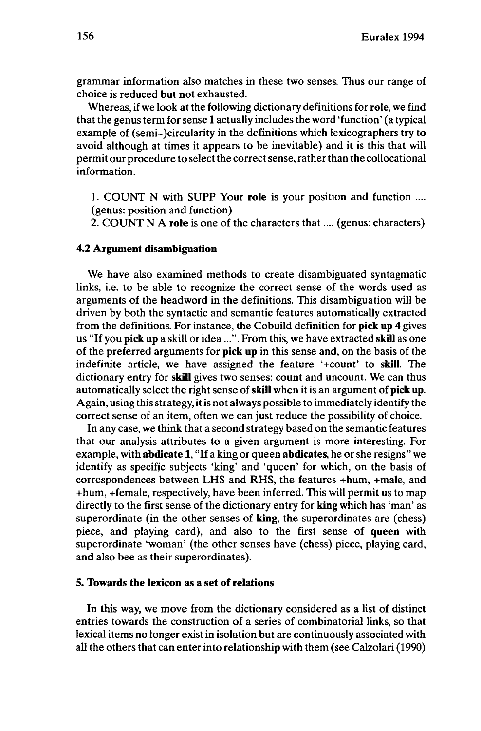grammar information also matches in these two senses. Thus our range of choice is reduced but not exhausted.

Whereas, if we look atthe following dictionary definitions for **role,** we find that the genus term for sense 1 actually includes the word 'function' (a typical example of (semi-)circularity in the definitions which lexicographers try to avoid although at times it appears to be inevitable) and it is this that will permit our procedure to select the correct sense, rather than the collocational information.

1. COUNT N with SUPP Your **role** is your position and function .... (genus: position and function)

2. COUNT N A **role** is one of the characters that.... (genus: characters)

#### **4.2 Argument disambiguation**

We have also examined methods to create disambiguated syntagmatic links, i.e. to be able to recognize the correct sense of the words used as arguments of the headword in the definitions. This disambiguation will be driven by both the syntactic and semantic features automatically extracted from the definitions. For instance, the Cobuild definition for **pick up** 4 gives us "If you **pick up** a skill or idea...". From this, we have extracted **skill** as one of the preferred arguments for **pick up** in this sense and, on the basis of the indefinite article, we have assigned the feature '+count' to **skill.** The dictionary entry for **skill** gives two senses: count and uncount. We can thus automatically select the right sense of**skill** when it is an argument of **pickup.** Again, using this strategy, it is not always possible to immediately identify the correct sense of an item, often we can just reduce the possibility of choice.

In any case, we think that a second strategy based on the semantic features that our analysis attributes to a given argument is more interesting. For example, with **abdicate** 1, "If a king or queen **abdicates,** he or she resigns" we identify as specific subjects 'king' and 'queen' for which, on the basis of correspondences between LHS and RHS, the features +hum, +male, and +hum, +female, respectively, have been inferred. This will permit us to map directly to the first sense of the dictionary entry for **king** which has 'man' as superordinate (in the other senses of **king,** the superordinates are (chess) piece, and playing card), and also to the first sense of **queen** with superordinate 'woman' (the other senses have (chess) piece, playing card, and also bee as their superordinates).

## **5. Towards the lexicon as a set of relations**

In this way, we move from the dictionary considered as a list of distinct entries towards the construction of a series of combinatorial links, so that lexical items no longer existin isolation but are continuously associated with all the others that can enter into relationship with them (see Calzolari (1990)